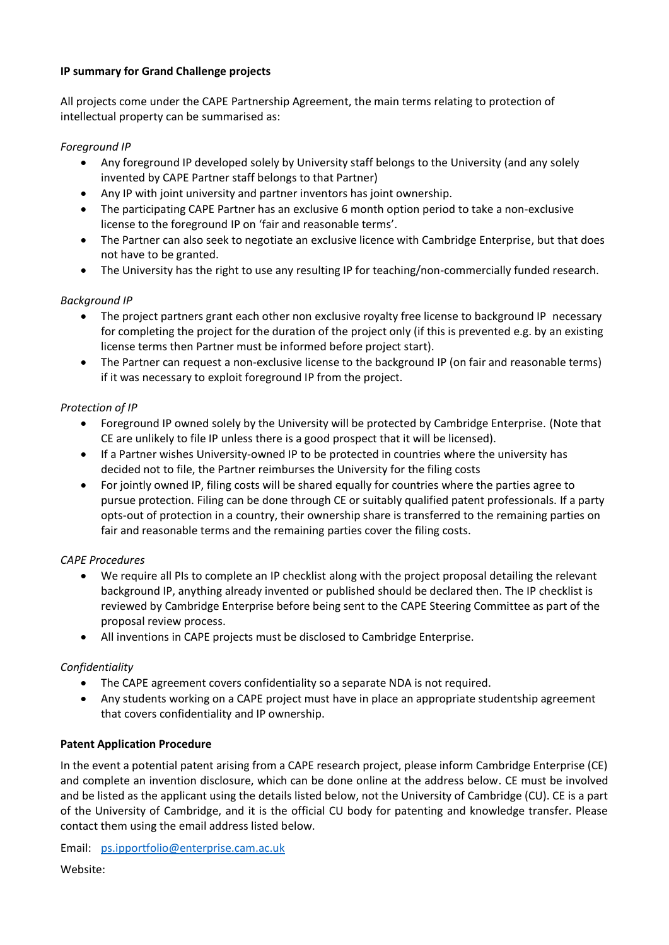## **IP summary for Grand Challenge projects**

All projects come under the CAPE Partnership Agreement, the main terms relating to protection of intellectual property can be summarised as:

### *Foreground IP*

- Any foreground IP developed solely by University staff belongs to the University (and any solely invented by CAPE Partner staff belongs to that Partner)
- Any IP with joint university and partner inventors has joint ownership.
- The participating CAPE Partner has an exclusive 6 month option period to take a non-exclusive license to the foreground IP on 'fair and reasonable terms'.
- The Partner can also seek to negotiate an exclusive licence with Cambridge Enterprise, but that does not have to be granted.
- The University has the right to use any resulting IP for teaching/non-commercially funded research.

### *Background IP*

- The project partners grant each other non exclusive royalty free license to background IP necessary for completing the project for the duration of the project only (if this is prevented e.g. by an existing license terms then Partner must be informed before project start).
- The Partner can request a non-exclusive license to the background IP (on fair and reasonable terms) if it was necessary to exploit foreground IP from the project.

# *Protection of IP*

- Foreground IP owned solely by the University will be protected by Cambridge Enterprise. (Note that CE are unlikely to file IP unless there is a good prospect that it will be licensed).
- If a Partner wishes University-owned IP to be protected in countries where the university has decided not to file, the Partner reimburses the University for the filing costs
- For jointly owned IP, filing costs will be shared equally for countries where the parties agree to pursue protection. Filing can be done through CE or suitably qualified patent professionals. If a party opts-out of protection in a country, their ownership share is transferred to the remaining parties on fair and reasonable terms and the remaining parties cover the filing costs.

#### *CAPE Procedures*

- We require all PIs to complete an IP checklist along with the project proposal detailing the relevant background IP, anything already invented or published should be declared then. The IP checklist is reviewed by Cambridge Enterprise before being sent to the CAPE Steering Committee as part of the proposal review process.
- All inventions in CAPE projects must be disclosed to Cambridge Enterprise.

# *Confidentiality*

- The CAPE agreement covers confidentiality so a separate NDA is not required.
- Any students working on a CAPE project must have in place an appropriate studentship agreement that covers confidentiality and IP ownership.

#### **Patent Application Procedure**

In the event a potential patent arising from a CAPE research project, please inform Cambridge Enterprise (CE) and complete an invention disclosure, which can be done online at the address below. CE must be involved and be listed as the applicant using the details listed below, not the University of Cambridge (CU). CE is a part of the University of Cambridge, and it is the official CU body for patenting and knowledge transfer. Please contact them using the email address listed below.

Email: [ps.ipportfolio@enterprise.cam.ac.uk](mailto:ps.ipportfolio@enterprise.cam.ac.uk)

Website: